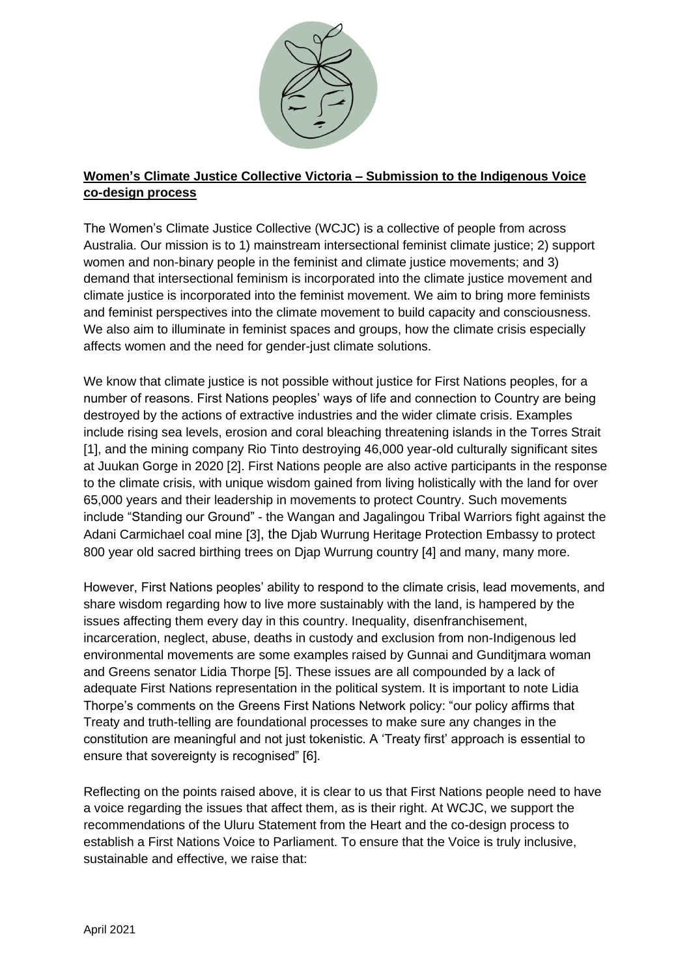

## **Women's Climate Justice Collective Victoria – Submission to the Indigenous Voice co-design process**

The Women's Climate Justice Collective (WCJC) is a collective of people from across Australia. Our mission is to 1) mainstream intersectional feminist climate justice; 2) support women and non-binary people in the feminist and climate justice movements; and 3) demand that intersectional feminism is incorporated into the climate justice movement and climate justice is incorporated into the feminist movement. We aim to bring more feminists and feminist perspectives into the climate movement to build capacity and consciousness. We also aim to illuminate in feminist spaces and groups, how the climate crisis especially affects women and the need for gender-just climate solutions.

We know that climate justice is not possible without justice for First Nations peoples, for a number of reasons. First Nations peoples' ways of life and connection to Country are being destroyed by the actions of extractive industries and the wider climate crisis. Examples include rising sea levels, erosion and coral bleaching threatening islands in the Torres Strait [1], and the mining company Rio Tinto destroying 46,000 year-old culturally significant sites at Juukan Gorge in 2020 [2]. First Nations people are also active participants in the response to the climate crisis, with unique wisdom gained from living holistically with the land for over 65,000 years and their leadership in movements to protect Country. Such movements include "Standing our Ground" - the Wangan and Jagalingou Tribal Warriors fight against the Adani Carmichael coal mine [3], the Djab Wurrung Heritage Protection Embassy to protect 800 year old sacred birthing trees on Djap Wurrung country [4] and many, many more.

However, First Nations peoples' ability to respond to the climate crisis, lead movements, and share wisdom regarding how to live more sustainably with the land, is hampered by the issues affecting them every day in this country. Inequality, disenfranchisement, incarceration, neglect, abuse, deaths in custody and exclusion from non-Indigenous led environmental movements are some examples raised by Gunnai and Gunditjmara woman and Greens senator Lidia Thorpe [5]. These issues are all compounded by a lack of adequate First Nations representation in the political system. It is important to note Lidia Thorpe's comments on the Greens First Nations Network policy: "our policy affirms that Treaty and truth-telling are foundational processes to make sure any changes in the constitution are meaningful and not just tokenistic. A 'Treaty first' approach is essential to ensure that sovereignty is recognised" [6].

Reflecting on the points raised above, it is clear to us that First Nations people need to have a voice regarding the issues that affect them, as is their right. At WCJC, we support the recommendations of the Uluru Statement from the Heart and the co-design process to establish a First Nations Voice to Parliament. To ensure that the Voice is truly inclusive, sustainable and effective, we raise that: